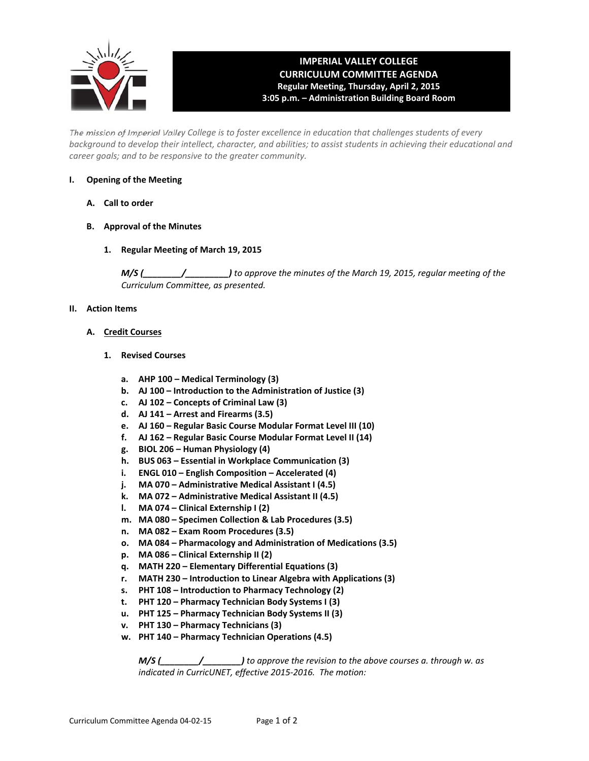

# **IMPERIAL VALLEY COLLEGE CURRICULUM COMMITTEE AGENDA Regular Meeting, Thursday, April 2, 2015 3:05 p.m. – Administration Building Board Room**

The mission of Imperial Valley College is to foster excellence in education that challenges students of every background to develop their intellect, character, and abilities; to assist students in achieving their educational and *career goals; and to be responsive to the greater community.*

## **I. Opening of the Meeting**

- **A. Call to order**
- **B. Approval of the Minutes**
	- **1. Regular Meeting of March 19, 2015**

*M/S (\_\_\_\_\_\_\_\_/\_\_\_\_\_\_\_\_\_) to approve the minutes of the March 19, 2015, regular meeting of the Curriculum Committee, as presented.*

## **II. Action Items**

- **A. Credit Courses**
	- **1. Revised Courses**
		- **a. AHP 100 – Medical Terminology (3)**
		- **b. AJ 100 – Introduction to the Administration of Justice (3)**
		- **c. AJ 102 – Concepts of Criminal Law (3)**
		- **d. AJ 141 – Arrest and Firearms (3.5)**
		- **e. AJ 160 – Regular Basic Course Modular Format Level III (10)**
		- **f. AJ 162 – Regular Basic Course Modular Format Level II (14)**
		- **g. BIOL 206 – Human Physiology (4)**
		- **h. BUS 063 – Essential in Workplace Communication (3)**
		- **i. ENGL 010 – English Composition – Accelerated (4)**
		- **j. MA 070 – Administrative Medical Assistant I (4.5)**
		- **k. MA 072 – Administrative Medical Assistant II (4.5)**
		- **l. MA 074 – Clinical Externship I (2)**
		- **m. MA 080 – Specimen Collection & Lab Procedures (3.5)**
		- **n. MA 082 – Exam Room Procedures (3.5)**
		- **o. MA 084 – Pharmacology and Administration of Medications (3.5)**
		- **p. MA 086 – Clinical Externship II (2)**
		- **q. MATH 220 – Elementary Differential Equations (3)**
		- **r. MATH 230 – Introduction to Linear Algebra with Applications (3)**
		- **s. PHT 108 – Introduction to Pharmacy Technology (2)**
		- **t. PHT 120 – Pharmacy Technician Body Systems I (3)**
		- **u. PHT 125 – Pharmacy Technician Body Systems II (3)**
		- **v. PHT 130 – Pharmacy Technicians (3)**
		- **w. PHT 140 – Pharmacy Technician Operations (4.5)**

*M/S (\_\_\_\_\_\_\_\_/\_\_\_\_\_\_\_\_) to approve the revision to the above courses a. through w. as indicated in CurricUNET, effective 2015‐2016. The motion:*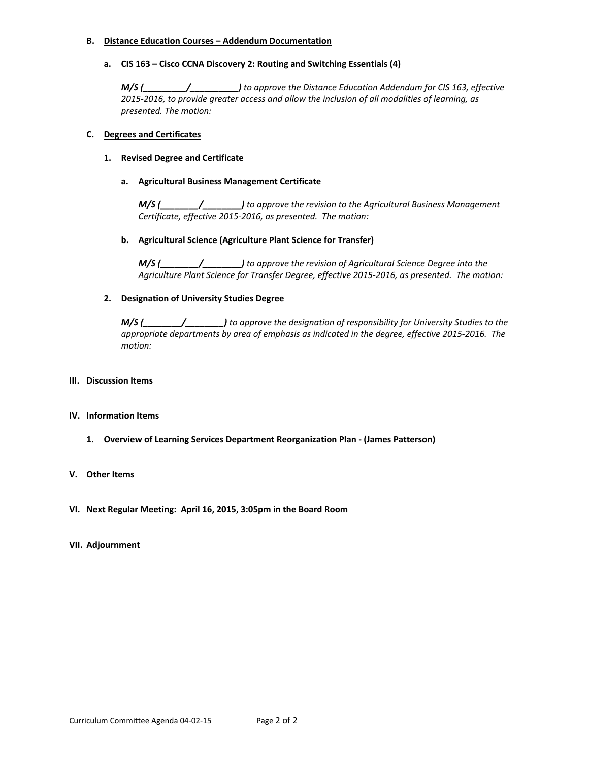#### **B. Distance Education Courses – Addendum Documentation**

## **a. CIS 163 – Cisco CCNA Discovery 2: Routing and Switching Essentials (4)**

*M/S (\_\_\_\_\_\_\_\_\_/\_\_\_\_\_\_\_\_\_\_) to approve the Distance Education Addendum for CIS 163, effective 2015‐2016, to provide greater access and allow the inclusion of all modalities of learning, as presented. The motion:*

## **C. Degrees and Certificates**

## **1. Revised Degree and Certificate**

## **a. Agricultural Business Management Certificate**

*M/S (\_\_\_\_\_\_\_\_/\_\_\_\_\_\_\_\_) to approve the revision to the Agricultural Business Management Certificate, effective 2015‐2016, as presented. The motion:*

## **b. Agricultural Science (Agriculture Plant Science for Transfer)**

*M/S (\_\_\_\_\_\_\_\_/\_\_\_\_\_\_\_\_) to approve the revision of Agricultural Science Degree into the Agriculture Plant Science for Transfer Degree, effective 2015‐2016, as presented. The motion:*

## **2. Designation of University Studies Degree**

*M/S (\_\_\_\_\_\_\_\_/\_\_\_\_\_\_\_\_) to approve the designation of responsibility for University Studies to the appropriate departments by area of emphasis as indicated in the degree, effective 2015‐2016. The motion:*

## **III. Discussion Items**

#### **IV. Information Items**

**1. Overview of Learning Services Department Reorganization Plan ‐ (James Patterson)**

#### **V. Other Items**

**VI. Next Regular Meeting: April 16, 2015, 3:05pm in the Board Room**

#### **VII. Adjournment**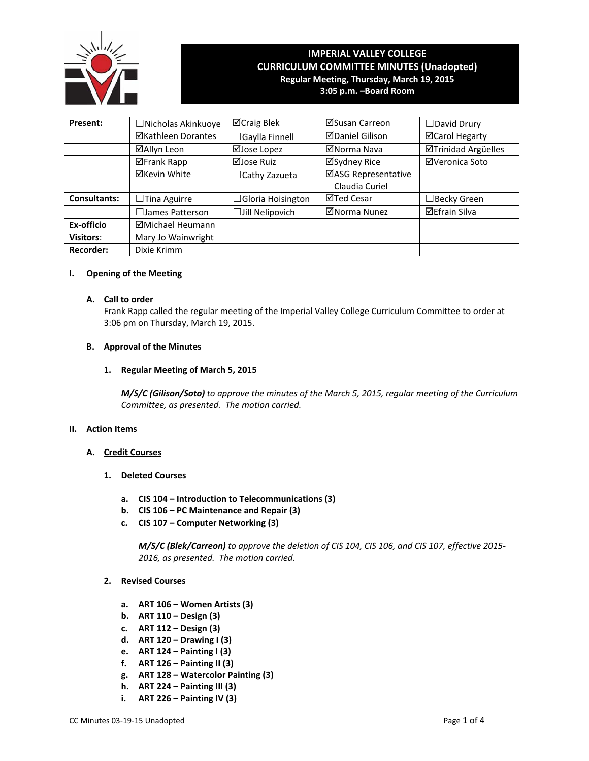

## **IMPERIAL VALLEY COLLEGE CURRICULUM COMMITTEE MINUTES (Unadopted) Regular Meeting, Thursday, March 19, 2015 3:05 p.m. –Board Room**

**Present:** │ □Nicholas Akinkuoye │ ⊠Craig Blek │ ⊠Susan Carreon │ □David Drury **ØKathleen Dorantes │ □Gaylla Finnell │ ØDaniel Gilison │ ØCarol Hegarty ØAllyn Leon** | ØJose Lopez | ØNorma Nava | ØTrinidad Argüelles Frank Rapp Jose Ruiz Sydney Rice Veronica Soto  $\Xi$ Kevin White  $\Box$ Cathy Zazueta  $\Box$ ASG Representative Claudia Curiel **Consultants:** │ □Tina Aguirre │ □Gloria Hoisington │ ⊠Ted Cesar │ □Becky Green ☐James Patterson ☐Jill Nelipovich Norma Nunez Efrain Silva **Ex-officio Michael Heumann Visitors:** Mary Jo Wainwright **Recorder:** Dixie Krimm

## **I. Opening of the Meeting**

#### **A. Call to order**

Frank Rapp called the regular meeting of the Imperial Valley College Curriculum Committee to order at 3:06 pm on Thursday, March 19, 2015.

## **B. Approval of the Minutes**

## **1. Regular Meeting of March 5, 2015**

*M/S/C (Gilison/Soto) to approve the minutes of the March 5, 2015, regular meeting of the Curriculum Committee, as presented. The motion carried.*

#### **II. Action Items**

- **A. Credit Courses**
	- **1. Deleted Courses**
		- **a. CIS 104 – Introduction to Telecommunications (3)**
		- **b. CIS 106 – PC Maintenance and Repair (3)**
		- **c. CIS 107 – Computer Networking (3)**

*M/S/C (Blek/Carreon) to approve the deletion of CIS 104, CIS 106, and CIS 107, effective 2015‐ 2016, as presented. The motion carried.*

- **2. Revised Courses**
	- **a. ART 106 – Women Artists (3)**
	- **b. ART 110 – Design (3)**
	- **c. ART 112 – Design (3)**
	- **d. ART 120 – Drawing I (3)**
	- **e. ART 124 – Painting I (3)**
	- **f. ART 126 – Painting II (3)**
	- **g. ART 128 – Watercolor Painting (3)**
	- **h. ART 224 – Painting III (3)**
	- **i. ART 226 – Painting IV (3)**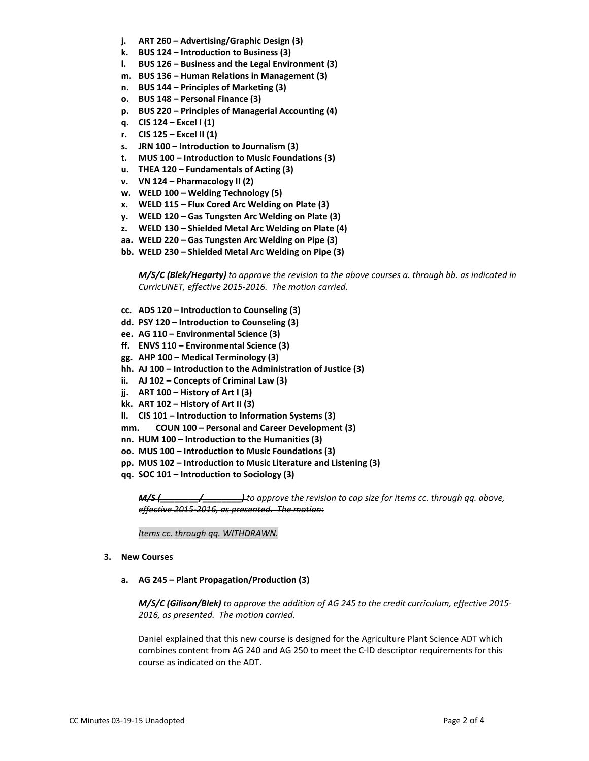- **j. ART 260 – Advertising/Graphic Design (3)**
- **k. BUS 124 – Introduction to Business (3)**
- **l. BUS 126 – Business and the Legal Environment (3)**
- **m. BUS 136 – Human Relations in Management (3)**
- **n. BUS 144 – Principles of Marketing (3)**
- **o. BUS 148 – Personal Finance (3)**
- **p. BUS 220 – Principles of Managerial Accounting (4)**
- **q. CIS 124 – Excel I (1)**
- **r. CIS 125 – Excel II (1)**
- **s. JRN 100 – Introduction to Journalism (3)**
- **t. MUS 100 – Introduction to Music Foundations (3)**
- **u. THEA 120 – Fundamentals of Acting (3)**
- **v. VN 124 – Pharmacology II (2)**
- **w. WELD 100 – Welding Technology (5)**
- **x. WELD 115 – Flux Cored Arc Welding on Plate (3)**
- **y. WELD 120 – Gas Tungsten Arc Welding on Plate (3)**
- **z. WELD 130 – Shielded Metal Arc Welding on Plate (4)**
- **aa. WELD 220 – Gas Tungsten Arc Welding on Pipe (3)**
- **bb. WELD 230 – Shielded Metal Arc Welding on Pipe (3)**

*M/S/C (Blek/Hegarty) to approve the revision to the above courses a. through bb. as indicated in CurricUNET, effective 2015‐2016. The motion carried.*

- **cc. ADS 120 – Introduction to Counseling (3)**
- **dd. PSY 120 – Introduction to Counseling (3)**
- **ee. AG 110 – Environmental Science (3)**
- **ff. ENVS 110 – Environmental Science (3)**
- **gg. AHP 100 – Medical Terminology (3)**
- **hh. AJ 100 – Introduction to the Administration of Justice (3)**
- **ii. AJ 102 – Concepts of Criminal Law (3)**
- **jj. ART 100 – History of Art I (3)**
- **kk. ART 102 – History of Art II (3)**
- **ll. CIS 101 – Introduction to Information Systems (3)**
- **mm. COUN 100 – Personal and Career Development (3)**
- **nn. HUM 100 – Introduction to the Humanities (3)**
- **oo. MUS 100 – Introduction to Music Foundations (3)**
- **pp. MUS 102 – Introduction to Music Literature and Listening (3)**
- **qq. SOC 101 – Introduction to Sociology (3)**

*M/S (\_\_\_\_\_\_\_\_/\_\_\_\_\_\_\_\_) to approve the revision to cap size for items cc. through qq. above, effective 2015‐2016, as presented. The motion:*

*Items cc. through qq. WITHDRAWN.*

#### **3. New Courses**

#### **a. AG 245 – Plant Propagation/Production (3)**

*M/S/C (Gilison/Blek) to approve the addition of AG 245 to the credit curriculum, effective 2015‐ 2016, as presented. The motion carried.*

Daniel explained that this new course is designed for the Agriculture Plant Science ADT which combines content from AG 240 and AG 250 to meet the C‐ID descriptor requirements for this course as indicated on the ADT.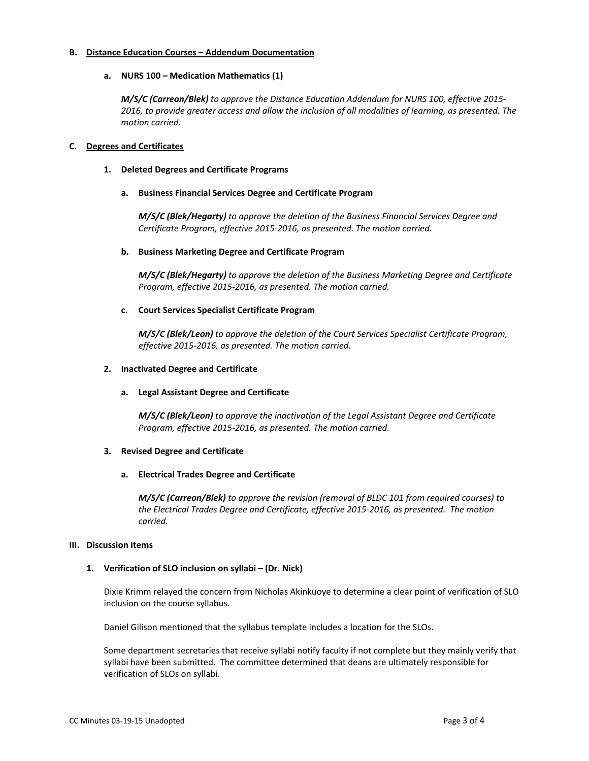## **B. Distance Education Courses – Addendum Documentation**

## **a. NURS 100 – Medication Mathematics (1)**

*M/S/C (Carreon/Blek) to approve the Distance Education Addendum for NURS 100, effective 2015‐ 2016, to provide greater access and allow the inclusion of all modalities of learning, as presented. The motion carried.*

## **C. Degrees and Certificates**

**1. Deleted Degrees and Certificate Programs**

## **a. Business Financial Services Degree and Certificate Program**

*M/S/C (Blek/Hegarty) to approve the deletion of the Business Financial Services Degree and Certificate Program, effective 2015‐2016, as presented. The motion carried.*

#### **b. Business Marketing Degree and Certificate Program**

*M/S/C (Blek/Hegarty) to approve the deletion of the Business Marketing Degree and Certificate Program, effective 2015‐2016, as presented. The motion carried.*

## **c. Court Services Specialist Certificate Program**

*M/S/C (Blek/Leon) to approve the deletion of the Court Services Specialist Certificate Program, effective 2015‐2016, as presented. The motion carried.*

#### **2. Inactivated Degree and Certificate**

#### **a. Legal Assistant Degree and Certificate**

*M/S/C (Blek/Leon) to approve the inactivation of the Legal Assistant Degree and Certificate Program, effective 2015‐2016, as presented. The motion carried.*

#### **3. Revised Degree and Certificate**

#### **a. Electrical Trades Degree and Certificate**

*M/S/C (Carreon/Blek) to approve the revision (removal of BLDC 101 from required courses) to the Electrical Trades Degree and Certificate, effective 2015‐2016, as presented. The motion carried.*

#### **III. Discussion Items**

## **1. Verification of SLO inclusion on syllabi – (Dr. Nick)**

Dixie Krimm relayed the concern from Nicholas Akinkuoye to determine a clear point of verification of SLO inclusion on the course syllabus.

Daniel Gilison mentioned that the syllabus template includes a location for the SLOs.

Some department secretaries that receive syllabi notify faculty if not complete but they mainly verify that syllabi have been submitted. The committee determined that deans are ultimately responsible for verification of SLOs on syllabi.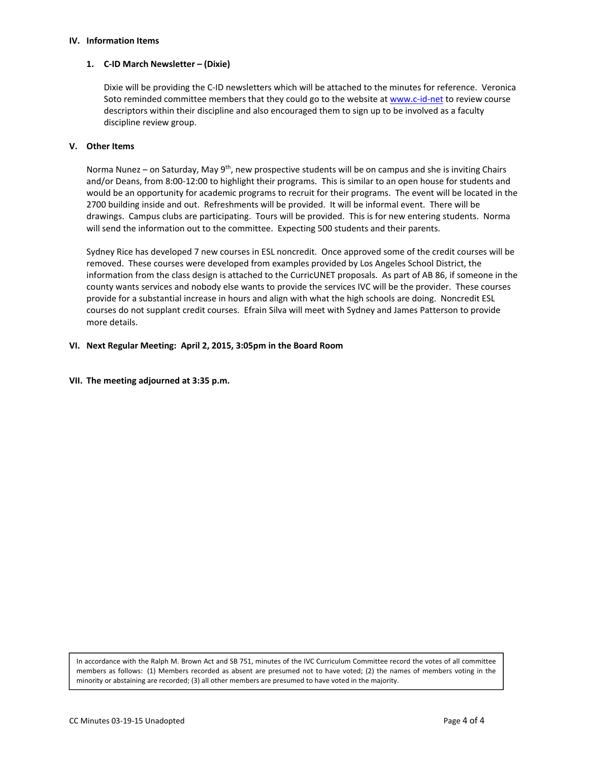#### **IV. Information Items**

#### **1. C‐ID March Newsletter – (Dixie)**

Dixie will be providing the C‐ID newsletters which will be attached to the minutes for reference. Veronica Soto reminded committee members that they could go to the website at www.c-id-net to review course descriptors within their discipline and also encouraged them to sign up to be involved as a faculty discipline review group.

## **V. Other Items**

Norma Nunez – on Saturday, May 9<sup>th</sup>, new prospective students will be on campus and she is inviting Chairs and/or Deans, from 8:00‐12:00 to highlight their programs. This is similar to an open house for students and would be an opportunity for academic programs to recruit for their programs. The event will be located in the 2700 building inside and out. Refreshments will be provided. It will be informal event. There will be drawings. Campus clubs are participating. Tours will be provided. This is for new entering students. Norma will send the information out to the committee. Expecting 500 students and their parents.

Sydney Rice has developed 7 new courses in ESL noncredit. Once approved some of the credit courses will be removed. These courses were developed from examples provided by Los Angeles School District, the information from the class design is attached to the CurricUNET proposals. As part of AB 86, if someone in the county wants services and nobody else wants to provide the services IVC will be the provider. These courses provide for a substantial increase in hours and align with what the high schools are doing. Noncredit ESL courses do not supplant credit courses. Efrain Silva will meet with Sydney and James Patterson to provide more details.

## **VI. Next Regular Meeting: April 2, 2015, 3:05pm in the Board Room**

**VII. The meeting adjourned at 3:35 p.m.** 

In accordance with the Ralph M. Brown Act and SB 751, minutes of the IVC Curriculum Committee record the votes of all committee members as follows: (1) Members recorded as absent are presumed not to have voted; (2) the names of members voting in the minority or abstaining are recorded; (3) all other members are presumed to have voted in the majority.